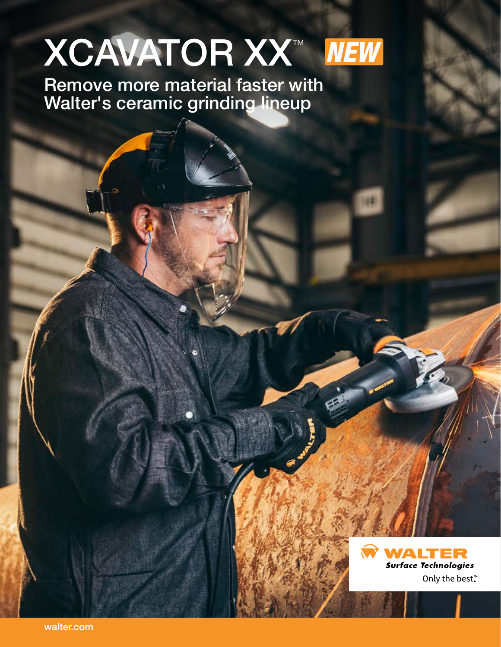# LIGHT **XCAVATOR XX™ NEW**

faster wi an li Remove more material faster with Walter's ceramic grinding lineup